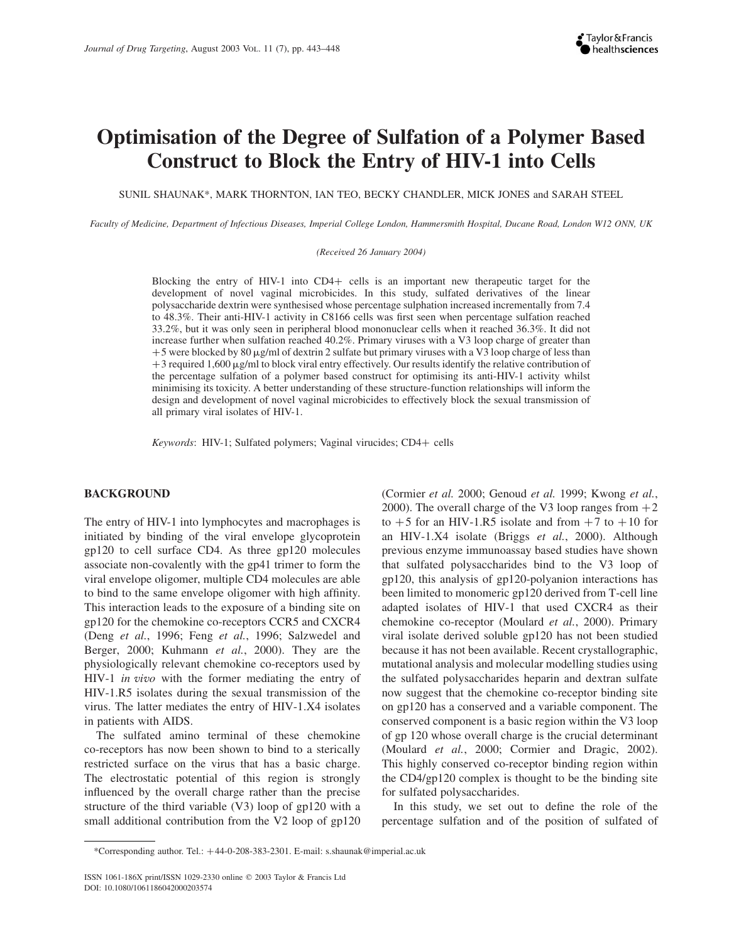# Optimisation of the Degree of Sulfation of a Polymer Based Construct to Block the Entry of HIV-1 into Cells

SUNIL SHAUNAK\*, MARK THORNTON, IAN TEO, BECKY CHANDLER, MICK JONES and SARAH STEEL

Faculty of Medicine, Department of Infectious Diseases, Imperial College London, Hammersmith Hospital, Ducane Road, London W12 ONN, UK

(Received 26 January 2004)

Blocking the entry of HIV-1 into CD4+ cells is an important new therapeutic target for the development of novel vaginal microbicides. In this study, sulfated derivatives of the linear polysaccharide dextrin were synthesised whose percentage sulphation increased incrementally from 7.4 to 48.3%. Their anti-HIV-1 activity in C8166 cells was first seen when percentage sulfation reached 33.2%, but it was only seen in peripheral blood mononuclear cells when it reached 36.3%. It did not increase further when sulfation reached 40.2%. Primary viruses with a V3 loop charge of greater than  $+5$  were blocked by 80  $\mu$ g/ml of dextrin 2 sulfate but primary viruses with a V3 loop charge of less than  $+3$  required 1,600  $\mu$ g/ml to block viral entry effectively. Our results identify the relative contribution of the percentage sulfation of a polymer based construct for optimising its anti-HIV-1 activity whilst minimising its toxicity. A better understanding of these structure-function relationships will inform the design and development of novel vaginal microbicides to effectively block the sexual transmission of all primary viral isolates of HIV-1.

 $Keywords: HIV-1; Sulfated polymers; Vaginal virucides; CD4+ cells$ 

# BACKGROUND

The entry of HIV-1 into lymphocytes and macrophages is initiated by binding of the viral envelope glycoprotein gp120 to cell surface CD4. As three gp120 molecules associate non-covalently with the gp41 trimer to form the viral envelope oligomer, multiple CD4 molecules are able to bind to the same envelope oligomer with high affinity. This interaction leads to the exposure of a binding site on gp120 for the chemokine co-receptors CCR5 and CXCR4 (Deng et al., 1996; Feng et al., 1996; Salzwedel and Berger, 2000; Kuhmann *et al.*, 2000). They are the physiologically relevant chemokine co-receptors used by HIV-1 in vivo with the former mediating the entry of HIV-1.R5 isolates during the sexual transmission of the virus. The latter mediates the entry of HIV-1.X4 isolates in patients with AIDS.

The sulfated amino terminal of these chemokine co-receptors has now been shown to bind to a sterically restricted surface on the virus that has a basic charge. The electrostatic potential of this region is strongly influenced by the overall charge rather than the precise structure of the third variable (V3) loop of gp120 with a small additional contribution from the V2 loop of gp120 (Cormier et al. 2000; Genoud et al. 1999; Kwong et al., 2000). The overall charge of the V3 loop ranges from  $+2$ to  $+5$  for an HIV-1.R5 isolate and from  $+7$  to  $+10$  for an HIV-1.X4 isolate (Briggs et al., 2000). Although previous enzyme immunoassay based studies have shown that sulfated polysaccharides bind to the V3 loop of gp120, this analysis of gp120-polyanion interactions has been limited to monomeric gp120 derived from T-cell line adapted isolates of HIV-1 that used CXCR4 as their chemokine co-receptor (Moulard et al., 2000). Primary viral isolate derived soluble gp120 has not been studied because it has not been available. Recent crystallographic, mutational analysis and molecular modelling studies using the sulfated polysaccharides heparin and dextran sulfate now suggest that the chemokine co-receptor binding site on gp120 has a conserved and a variable component. The conserved component is a basic region within the V3 loop of gp 120 whose overall charge is the crucial determinant (Moulard et al., 2000; Cormier and Dragic, 2002). This highly conserved co-receptor binding region within the CD4/gp120 complex is thought to be the binding site for sulfated polysaccharides.

In this study, we set out to define the role of the percentage sulfation and of the position of sulfated of

<sup>\*</sup>Corresponding author. Tel.: þ44-0-208-383-2301. E-mail: s.shaunak@imperial.ac.uk

ISSN 1061-186X print/ISSN 1029-2330 online q 2003 Taylor & Francis Ltd DOI: 10.1080/1061186042000203574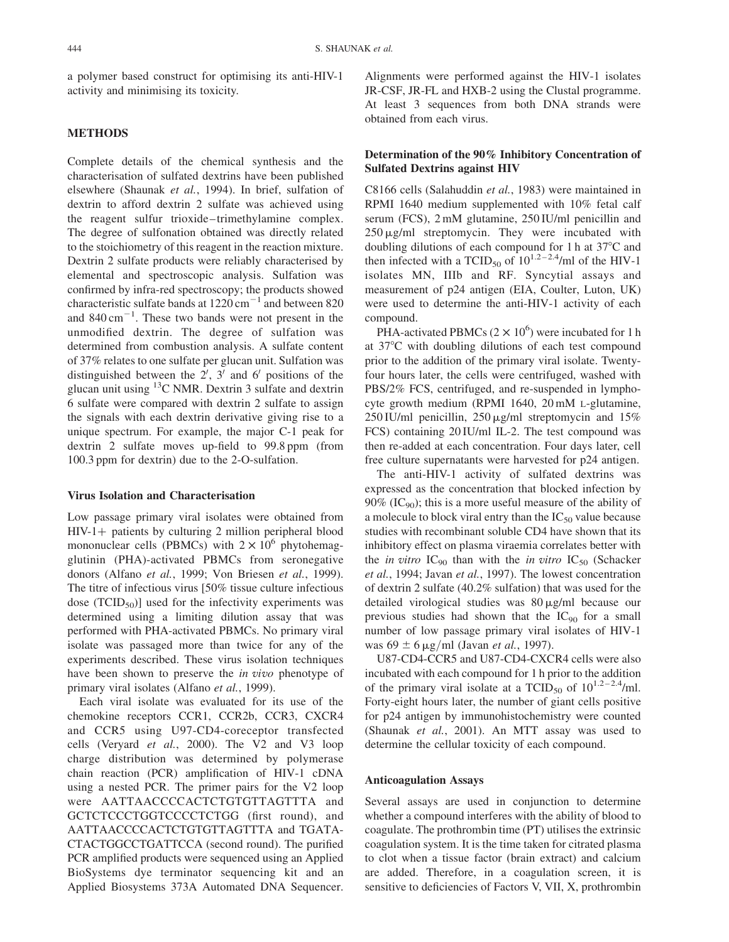a polymer based construct for optimising its anti-HIV-1 activity and minimising its toxicity.

# METHODS

Complete details of the chemical synthesis and the characterisation of sulfated dextrins have been published elsewhere (Shaunak et al., 1994). In brief, sulfation of dextrin to afford dextrin 2 sulfate was achieved using the reagent sulfur trioxide–trimethylamine complex. The degree of sulfonation obtained was directly related to the stoichiometry of this reagent in the reaction mixture. Dextrin 2 sulfate products were reliably characterised by elemental and spectroscopic analysis. Sulfation was confirmed by infra-red spectroscopy; the products showed characteristic sulfate bands at  $1220 \text{ cm}^{-1}$  and between 820 and  $840 \text{ cm}^{-1}$ . These two bands were not present in the unmodified dextrin. The degree of sulfation was determined from combustion analysis. A sulfate content of 37% relates to one sulfate per glucan unit. Sulfation was distinguished between the  $2'$ ,  $3'$  and  $6'$  positions of the glucan unit using  $^{13}$ C NMR. Dextrin 3 sulfate and dextrin 6 sulfate were compared with dextrin 2 sulfate to assign the signals with each dextrin derivative giving rise to a unique spectrum. For example, the major C-1 peak for dextrin 2 sulfate moves up-field to 99.8 ppm (from 100.3 ppm for dextrin) due to the 2-O-sulfation.

# Virus Isolation and Characterisation

Low passage primary viral isolates were obtained from  $HIV-1+$  patients by culturing 2 million peripheral blood mononuclear cells (PBMCs) with  $2 \times 10^6$  phytohemagglutinin (PHA)-activated PBMCs from seronegative donors (Alfano et al., 1999; Von Briesen et al., 1999). The titre of infectious virus [50% tissue culture infectious dose  $(TCID_{50})$ ] used for the infectivity experiments was determined using a limiting dilution assay that was performed with PHA-activated PBMCs. No primary viral isolate was passaged more than twice for any of the experiments described. These virus isolation techniques have been shown to preserve the *in vivo* phenotype of primary viral isolates (Alfano et al., 1999).

Each viral isolate was evaluated for its use of the chemokine receptors CCR1, CCR2b, CCR3, CXCR4 and CCR5 using U97-CD4-coreceptor transfected cells (Veryard et al., 2000). The V2 and V3 loop charge distribution was determined by polymerase chain reaction (PCR) amplification of HIV-1 cDNA using a nested PCR. The primer pairs for the V2 loop were AATTAACCCCACTCTGTGTTAGTTTA and GCTCTCCCTGGTCCCCTCTGG (first round), and AATTAACCCCACTCTGTGTTAGTTTA and TGATA-CTACTGGCCTGATTCCA (second round). The purified PCR amplified products were sequenced using an Applied BioSystems dye terminator sequencing kit and an Applied Biosystems 373A Automated DNA Sequencer. Alignments were performed against the HIV-1 isolates JR-CSF, JR-FL and HXB-2 using the Clustal programme. At least 3 sequences from both DNA strands were obtained from each virus.

# Determination of the 90% Inhibitory Concentration of Sulfated Dextrins against HIV

C8166 cells (Salahuddin et al., 1983) were maintained in RPMI 1640 medium supplemented with 10% fetal calf serum (FCS), 2 mM glutamine, 250 IU/ml penicillin and  $250 \,\mathrm{\upmu}\mathrm{g/mL}$  streptomycin. They were incubated with doubling dilutions of each compound for 1 h at  $37^{\circ}$ C and then infected with a TCID<sub>50</sub> of  $10^{1.2-2.4}$ /ml of the HIV-1 isolates MN, IIIb and RF. Syncytial assays and measurement of p24 antigen (EIA, Coulter, Luton, UK) were used to determine the anti-HIV-1 activity of each compound.

PHA-activated PBMCs  $(2 \times 10^6)$  were incubated for 1 h at 37°C with doubling dilutions of each test compound prior to the addition of the primary viral isolate. Twentyfour hours later, the cells were centrifuged, washed with PBS/2% FCS, centrifuged, and re-suspended in lymphocyte growth medium (RPMI 1640, 20 mM L-glutamine, 250 IU/ml penicillin,  $250 \mu g/ml$  streptomycin and  $15\%$ FCS) containing 20 IU/ml IL-2. The test compound was then re-added at each concentration. Four days later, cell free culture supernatants were harvested for p24 antigen.

The anti-HIV-1 activity of sulfated dextrins was expressed as the concentration that blocked infection by  $90\%$  (IC<sub>90</sub>); this is a more useful measure of the ability of a molecule to block viral entry than the  $IC_{50}$  value because studies with recombinant soluble CD4 have shown that its inhibitory effect on plasma viraemia correlates better with the *in vitro*  $IC_{90}$  than with the *in vitro*  $IC_{50}$  (Schacker et al., 1994; Javan et al., 1997). The lowest concentration of dextrin 2 sulfate (40.2% sulfation) that was used for the detailed virological studies was  $80 \mu g/ml$  because our previous studies had shown that the  $IC_{90}$  for a small number of low passage primary viral isolates of HIV-1 was  $69 \pm 6 \,\mathrm{\upmu g/ml}$  (Javan *et al.*, 1997).

U87-CD4-CCR5 and U87-CD4-CXCR4 cells were also incubated with each compound for 1 h prior to the addition of the primary viral isolate at a TCID<sub>50</sub> of  $10^{1.2-2.4}$ /ml. Forty-eight hours later, the number of giant cells positive for p24 antigen by immunohistochemistry were counted (Shaunak et al., 2001). An MTT assay was used to determine the cellular toxicity of each compound.

#### Anticoagulation Assays

Several assays are used in conjunction to determine whether a compound interferes with the ability of blood to coagulate. The prothrombin time (PT) utilises the extrinsic coagulation system. It is the time taken for citrated plasma to clot when a tissue factor (brain extract) and calcium are added. Therefore, in a coagulation screen, it is sensitive to deficiencies of Factors V, VII, X, prothrombin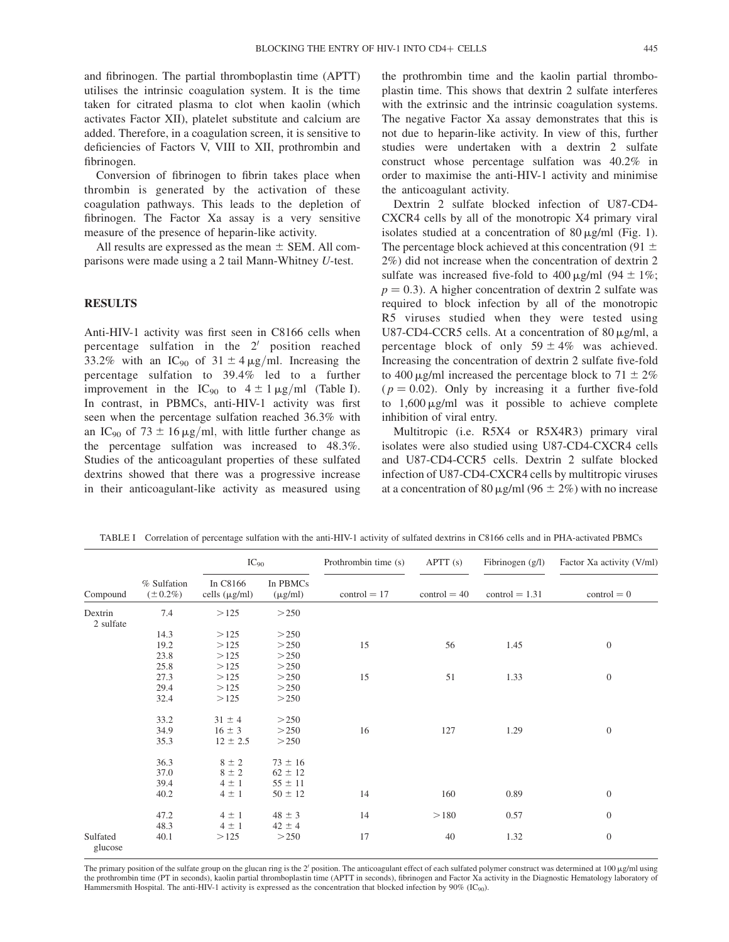and fibrinogen. The partial thromboplastin time (APTT) utilises the intrinsic coagulation system. It is the time taken for citrated plasma to clot when kaolin (which activates Factor XII), platelet substitute and calcium are added. Therefore, in a coagulation screen, it is sensitive to deficiencies of Factors V, VIII to XII, prothrombin and fibrinogen.

Conversion of fibrinogen to fibrin takes place when thrombin is generated by the activation of these coagulation pathways. This leads to the depletion of fibrinogen. The Factor Xa assay is a very sensitive measure of the presence of heparin-like activity.

All results are expressed as the mean  $\pm$  SEM. All comparisons were made using a 2 tail Mann-Whitney U-test.

#### RESULTS

Anti-HIV-1 activity was first seen in C8166 cells when percentage sulfation in the  $2'$  position reached 33.2% with an IC<sub>90</sub> of 31  $\pm$  4  $\mu$ g/ml. Increasing the percentage sulfation to 39.4% led to a further improvement in the IC<sub>90</sub> to  $4 \pm 1 \mu$ g/ml (Table I). In contrast, in PBMCs, anti-HIV-1 activity was first seen when the percentage sulfation reached 36.3% with an IC<sub>90</sub> of 73  $\pm$  16  $\mu$ g/ml, with little further change as the percentage sulfation was increased to 48.3%. Studies of the anticoagulant properties of these sulfated dextrins showed that there was a progressive increase in their anticoagulant-like activity as measured using the prothrombin time and the kaolin partial thromboplastin time. This shows that dextrin 2 sulfate interferes with the extrinsic and the intrinsic coagulation systems. The negative Factor Xa assay demonstrates that this is not due to heparin-like activity. In view of this, further studies were undertaken with a dextrin 2 sulfate construct whose percentage sulfation was 40.2% in order to maximise the anti-HIV-1 activity and minimise the anticoagulant activity.

Dextrin 2 sulfate blocked infection of U87-CD4- CXCR4 cells by all of the monotropic X4 primary viral isolates studied at a concentration of  $80 \mu g/ml$  (Fig. 1). The percentage block achieved at this concentration (91  $\pm$ 2%) did not increase when the concentration of dextrin 2 sulfate was increased five-fold to  $400 \mu g/ml$  (94  $\pm$  1%;  $p = 0.3$ ). A higher concentration of dextrin 2 sulfate was required to block infection by all of the monotropic R5 viruses studied when they were tested using U87-CD4-CCR5 cells. At a concentration of 80  $\mu$ g/ml, a percentage block of only  $59 \pm 4\%$  was achieved. Increasing the concentration of dextrin 2 sulfate five-fold to 400  $\mu$ g/ml increased the percentage block to 71  $\pm$  2%  $(p = 0.02)$ . Only by increasing it a further five-fold to  $1,600 \mu g/ml$  was it possible to achieve complete inhibition of viral entry.

Multitropic (i.e. R5X4 or R5X4R3) primary viral isolates were also studied using U87-CD4-CXCR4 cells and U87-CD4-CCR5 cells. Dextrin 2 sulfate blocked infection of U87-CD4-CXCR4 cells by multitropic viruses at a concentration of 80  $\mu$ g/ml (96  $\pm$  2%) with no increase

| Compound             | % Sulfation<br>$(\pm 0.2\%)$ | $IC_{90}$                           |                                           | Prothrombin time (s) | APTT (s)       | Fibrinogen $(g/l)$ | Factor Xa activity (V/ml) |
|----------------------|------------------------------|-------------------------------------|-------------------------------------------|----------------------|----------------|--------------------|---------------------------|
|                      |                              | In C8166<br>cells $(\mu g/ml)$      | In PBMCs<br>$(\mu g/ml)$                  | $control = 17$       | $control = 40$ | $control = 1.31$   | $control = 0$             |
| Dextrin<br>2 sulfate | 7.4                          | >125                                | >250                                      |                      |                |                    |                           |
|                      | 14.3                         | >125                                | >250                                      |                      |                |                    |                           |
|                      | 19.2                         | >125                                | >250                                      | 15                   | 56             | 1.45               | $\boldsymbol{0}$          |
|                      | 23.8                         | >125                                | >250                                      |                      |                |                    |                           |
|                      | 25.8                         | >125                                | >250                                      |                      |                |                    |                           |
|                      | 27.3                         | >125                                | >250                                      | 15                   | 51             | 1.33               | $\boldsymbol{0}$          |
|                      | 29.4                         | >125                                | >250                                      |                      |                |                    |                           |
|                      | 32.4                         | >125                                | >250                                      |                      |                |                    |                           |
|                      | 33.2                         | $31 \pm 4$                          | >250                                      |                      |                |                    |                           |
|                      | 34.9                         | $16 \pm 3$                          | >250                                      | 16                   | 127            | 1.29               | $\boldsymbol{0}$          |
|                      | 35.3                         | $12 \pm 2.5$                        | >250                                      |                      |                |                    |                           |
|                      | 36.3<br>37.0<br>39.4         | $8 \pm 2$<br>$8 \pm 2$<br>$4 \pm 1$ | $73 \pm 16$<br>$62 \pm 12$<br>$55 \pm 11$ |                      |                |                    |                           |
|                      | 40.2                         | $4 \pm 1$                           | $50 \pm 12$                               | 14                   | 160            | 0.89               | $\boldsymbol{0}$          |
|                      | 47.2<br>48.3                 | $4 \pm 1$<br>$4 \pm 1$              | $48 \pm 3$<br>$42 \pm 4$                  | 14                   | >180           | 0.57               | $\boldsymbol{0}$          |
| Sulfated<br>glucose  | 40.1                         | >125                                | >250                                      | 17                   | 40             | 1.32               | $\boldsymbol{0}$          |

TABLE I Correlation of percentage sulfation with the anti-HIV-1 activity of sulfated dextrins in C8166 cells and in PHA-activated PBMCs

The primary position of the sulfate group on the glucan ring is the 2' position. The anticoagulant effect of each sulfated polymer construct was determined at 100  $\mu$ g/ml using the prothrombin time (PT in seconds), kaolin partial thromboplastin time (APTT in seconds), fibrinogen and Factor Xa activity in the Diagnostic Hematology laboratory of Hammersmith Hospital. The anti-HIV-1 activity is expressed as the concentration that blocked infection by 90% (IC90).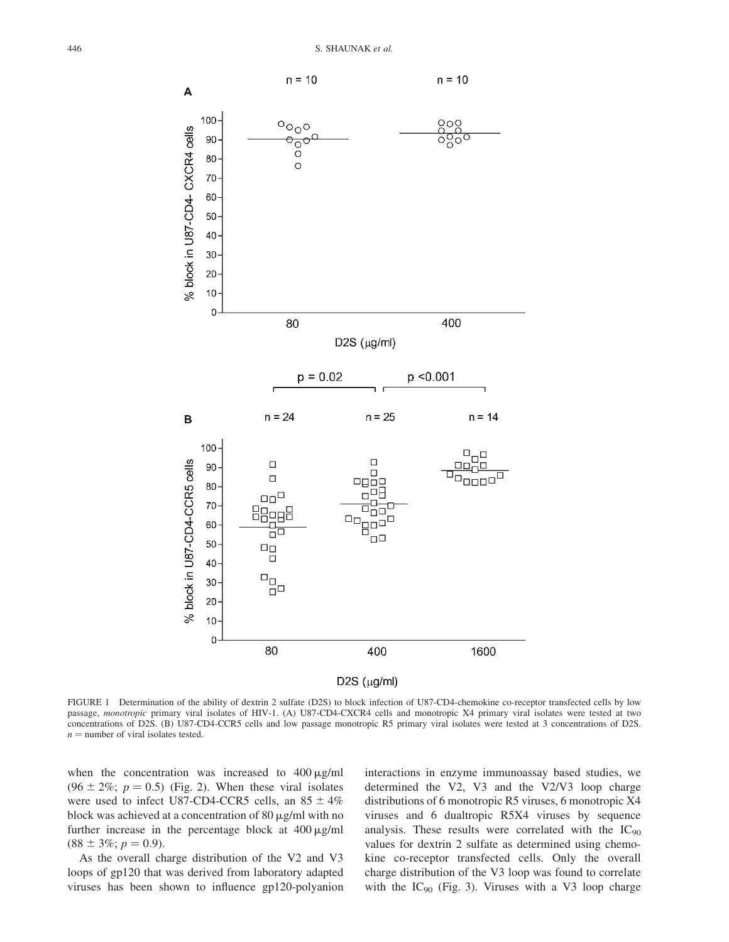

FIGURE 1 Determination of the ability of dextrin 2 sulfate (D2S) to block infection of U87-CD4-chemokine co-receptor transfected cells by low passage, monotropic primary viral isolates of HIV-1. (A) U87-CD4-CXCR4 cells and monotropic X4 primary viral isolates were tested at two concentrations of D2S. (B) U87-CD4-CCR5 cells and low passage monotropic R5 primary viral isolates were tested at 3 concentrations of D2S.  $n =$  number of viral isolates tested.

when the concentration was increased to  $400 \mu g/ml$  $(96 \pm 2\%; p = 0.5)$  (Fig. 2). When these viral isolates were used to infect U87-CD4-CCR5 cells, an  $85 \pm 4\%$ block was achieved at a concentration of  $80 \mu g/ml$  with no further increase in the percentage block at  $400 \mu g/ml$  $(88 \pm 3\%; p = 0.9)$ .

As the overall charge distribution of the V2 and V3 loops of gp120 that was derived from laboratory adapted viruses has been shown to influence gp120-polyanion

interactions in enzyme immunoassay based studies, we determined the V2, V3 and the V2/V3 loop charge distributions of 6 monotropic R5 viruses, 6 monotropic X4 viruses and 6 dualtropic R5X4 viruses by sequence analysis. These results were correlated with the IC<sub>90</sub> values for dextrin 2 sulfate as determined using chemokine co-receptor transfected cells. Only the overall charge distribution of the V3 loop was found to correlate with the  $IC_{90}$  (Fig. 3). Viruses with a V3 loop charge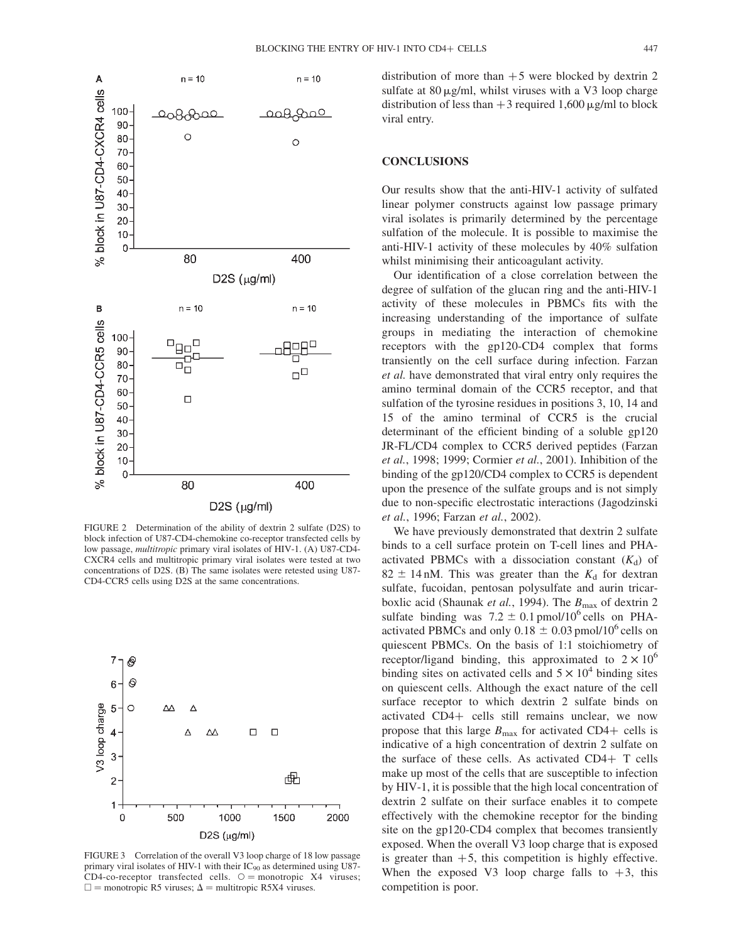

FIGURE 2 Determination of the ability of dextrin 2 sulfate (D2S) to block infection of U87-CD4-chemokine co-receptor transfected cells by low passage, multitropic primary viral isolates of HIV-1. (A) U87-CD4- CXCR4 cells and multitropic primary viral isolates were tested at two concentrations of D2S. (B) The same isolates were retested using U87- CD4-CCR5 cells using D2S at the same concentrations.



FIGURE 3 Correlation of the overall V3 loop charge of 18 low passage primary viral isolates of HIV-1 with their  $IC_{90}$  as determined using U87- $CD4$ -co-receptor transfected cells.  $\circ$  = monotropic X4 viruses;  $\square$  = monotropic R5 viruses;  $\Delta$  = multitropic R5X4 viruses.

distribution of more than  $+5$  were blocked by dextrin 2 sulfate at  $80 \mu g/ml$ , whilst viruses with a V3 loop charge distribution of less than  $+3$  required 1,600  $\mu$ g/ml to block viral entry.

# **CONCLUSIONS**

Our results show that the anti-HIV-1 activity of sulfated linear polymer constructs against low passage primary viral isolates is primarily determined by the percentage sulfation of the molecule. It is possible to maximise the anti-HIV-1 activity of these molecules by 40% sulfation whilst minimising their anticoagulant activity.

Our identification of a close correlation between the degree of sulfation of the glucan ring and the anti-HIV-1 activity of these molecules in PBMCs fits with the increasing understanding of the importance of sulfate groups in mediating the interaction of chemokine receptors with the gp120-CD4 complex that forms transiently on the cell surface during infection. Farzan et al. have demonstrated that viral entry only requires the amino terminal domain of the CCR5 receptor, and that sulfation of the tyrosine residues in positions 3, 10, 14 and 15 of the amino terminal of CCR5 is the crucial determinant of the efficient binding of a soluble gp120 JR-FL/CD4 complex to CCR5 derived peptides (Farzan et al., 1998; 1999; Cormier et al., 2001). Inhibition of the binding of the gp120/CD4 complex to CCR5 is dependent upon the presence of the sulfate groups and is not simply due to non-specific electrostatic interactions (Jagodzinski et al., 1996; Farzan et al., 2002).

We have previously demonstrated that dextrin 2 sulfate binds to a cell surface protein on T-cell lines and PHAactivated PBMCs with a dissociation constant  $(K_d)$  of  $82 \pm 14$  nM. This was greater than the  $K_d$  for dextran sulfate, fucoidan, pentosan polysulfate and aurin tricarboxlic acid (Shaunak et al., 1994). The  $B_{\text{max}}$  of dextrin 2 sulfate binding was  $7.2 \pm 0.1$  pmol/10<sup>6</sup> cells on PHAactivated PBMCs and only  $0.18 \pm 0.03$  pmol/10<sup>6</sup> cells on quiescent PBMCs. On the basis of 1:1 stoichiometry of receptor/ligand binding, this approximated to  $2 \times 10^6$ binding sites on activated cells and  $5 \times 10^4$  binding sites on quiescent cells. Although the exact nature of the cell surface receptor to which dextrin 2 sulfate binds on activated  $CD4+$  cells still remains unclear, we now propose that this large  $B_{\text{max}}$  for activated CD4+ cells is indicative of a high concentration of dextrin 2 sulfate on the surface of these cells. As activated  $CD4+T$  cells make up most of the cells that are susceptible to infection by HIV-1, it is possible that the high local concentration of dextrin 2 sulfate on their surface enables it to compete effectively with the chemokine receptor for the binding site on the gp120-CD4 complex that becomes transiently exposed. When the overall V3 loop charge that is exposed is greater than  $+5$ , this competition is highly effective. When the exposed V3 loop charge falls to  $+3$ , this competition is poor.